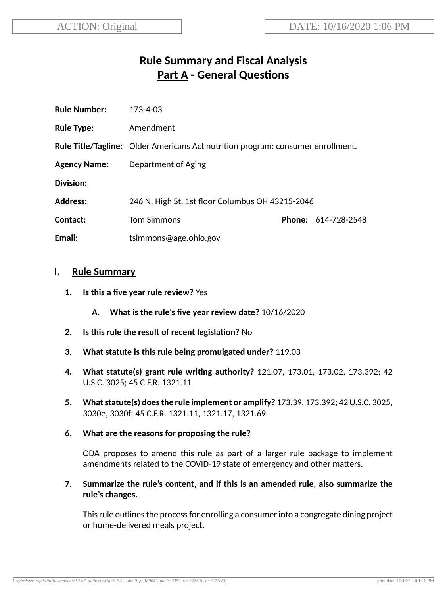# **Rule Summary and Fiscal Analysis Part A - General Questions**

| <b>Rule Number:</b> | 173-4-03                                                                               |  |                            |
|---------------------|----------------------------------------------------------------------------------------|--|----------------------------|
| <b>Rule Type:</b>   | Amendment                                                                              |  |                            |
|                     | <b>Rule Title/Tagline:</b> Older Americans Act nutrition program: consumer enrollment. |  |                            |
| <b>Agency Name:</b> | Department of Aging                                                                    |  |                            |
| Division:           |                                                                                        |  |                            |
| <b>Address:</b>     | 246 N. High St. 1st floor Columbus OH 43215-2046                                       |  |                            |
| Contact:            | <b>Tom Simmons</b>                                                                     |  | <b>Phone: 614-728-2548</b> |
| Email:              | tsimmons@age.ohio.gov                                                                  |  |                            |

#### **I. Rule Summary**

- **1. Is this a five year rule review?** Yes
	- **A. What is the rule's five year review date?** 10/16/2020
- **2.** Is this rule the result of recent legislation? No
- **3. What statute is this rule being promulgated under?** 119.03
- **4. What statute(s) grant rule wring authority?** 121.07, 173.01, 173.02, 173.392; 42 U.S.C. 3025; 45 C.F.R. 1321.11
- **5. Whatstatute(s) doesthe rule implement or amplify?** 173.39, 173.392; 42U.S.C. 3025, 3030e, 3030f; 45 C.F.R. 1321.11, 1321.17, 1321.69
- **6. What are the reasons for proposing the rule?**

ODA proposes to amend this rule as part of a larger rule package to implement amendments related to the COVID-19 state of emergency and other matters.

**7. Summarize the rule's content, and if this is an amended rule, also summarize the rule's changes.**

This rule outlines the process for enrolling a consumer into a congregate dining project or home-delivered meals project.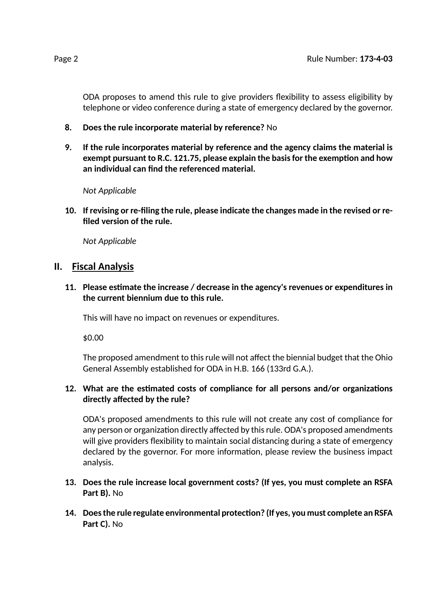ODA proposes to amend this rule to give providers flexibility to assess eligibility by telephone or video conference during a state of emergency declared by the governor.

- **8. Does the rule incorporate material by reference?** No
- **9. If the rule incorporates material by reference and the agency claims the material is exempt pursuant to R.C. 121.75, please explain the basisfor the exempon and how an individual can find the referenced material.**

*Not Applicable*

**10. If revising or re-filing the rule, please indicate the changes made in the revised or refiled version of the rule.**

*Not Applicable*

### **II. Fiscal Analysis**

**11. Please esmate the increase / decrease in the agency's revenues or expenditures in the current biennium due to this rule.**

This will have no impact on revenues or expenditures.

\$0.00

The proposed amendment to thisrule will not affect the biennial budget that the Ohio General Assembly established for ODA in H.B. 166 (133rd G.A.).

#### 12. What are the estimated costs of compliance for all persons and/or organizations **directly affected by the rule?**

ODA's proposed amendments to this rule will not create any cost of compliance for any person or organization directly affected by this rule. ODA's proposed amendments will give providers flexibility to maintain social distancing during a state of emergency declared by the governor. For more information, please review the business impact analysis.

- **13. Does the rule increase local government costs? (If yes, you must complete an RSFA Part B).** No
- **14. Doesthe rule regulate environmental protecon? (If yes, you must complete an RSFA Part C).** No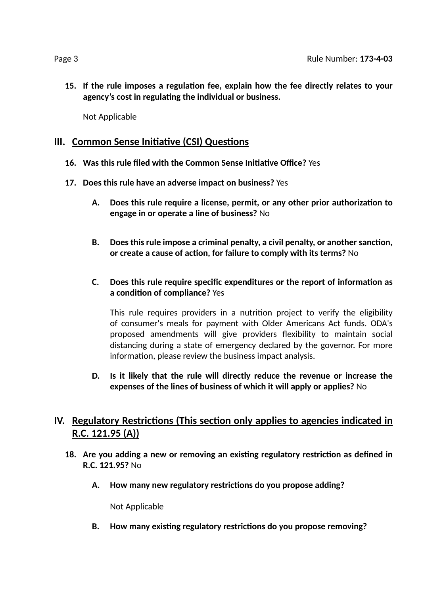**15. If the rule imposes a regulaon fee, explain how the fee directly relates to your agency's cost in regulang the individual or business.**

Not Applicable

## **III.** Common Sense Initiative (CSI) Questions

- **16. Was this rule filed with the Common Sense Iniave Office?** Yes
- **17. Does this rule have an adverse impact on business?** Yes
	- **A. Does this rule require a license, permit, or any other prior authorizaon to engage in or operate a line of business?** No
	- **B. Does this rule impose a criminal penalty, a civil penalty, or another sancon, or create a cause of acon, for failure to comply with its terms?** No
	- **C. Does this rule require specific expenditures or the report of informaon as a** condition of compliance? Yes

This rule requires providers in a nutrition project to verify the eligibility of consumer's meals for payment with Older Americans Act funds. ODA's proposed amendments will give providers flexibility to maintain social distancing during a state of emergency declared by the governor. For more information, please review the business impact analysis.

**D. Is it likely that the rule will directly reduce the revenue or increase the expenses of the lines of business of which it will apply or applies?** No

# **IV.** Regulatory Restrictions (This section only applies to agencies indicated in **R.C. 121.95 (A))**

- **18. Are you adding a new or removing an exisng regulatory restricon as defined in R.C. 121.95?** No
	- **A. How many new regulatory restricons do you propose adding?**

Not Applicable

**B. How many exisng regulatory restricons do you propose removing?**